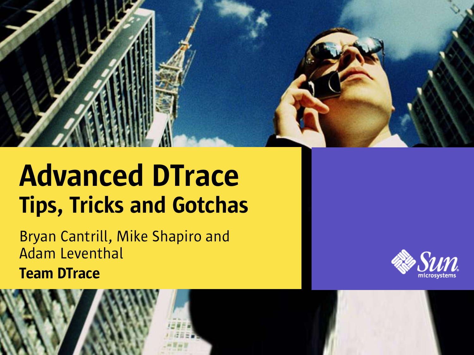

#### Advanced DTrace Tips, Tricks and Gotchas

Bryan Cantrill, Mike Shapiro and Adam Leventhal Team DTrace



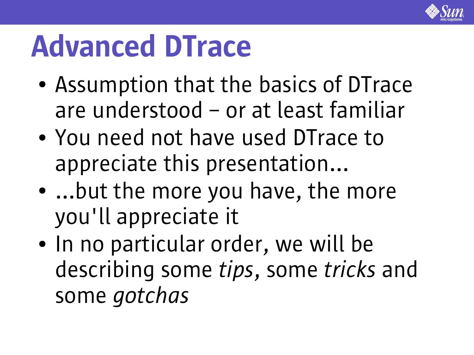

### Advanced DTrace

- Assumption that the basics of DTrace are understood – or at least familiar
- You need not have used DTrace to appreciate this presentation...
- $\bullet$ ...but the more you have, the more you'll appreciate it
- In no particular order, we will be describing some *tips*, some *tricks* and some *gotchas*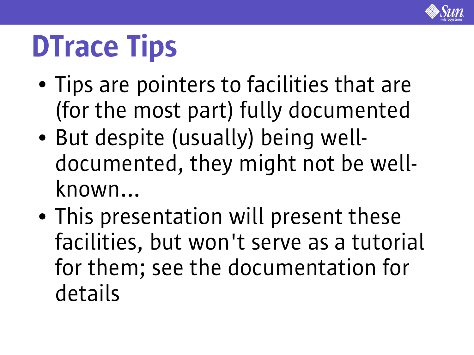

## **DTrace Tips**

- Tips are pointers to facilities that are (for the most part) fully documented
- But despite (usually) being welldocumented, they might not be wellknown...
- This presentation will present these facilities, but won't serve as a tutorial for them; see the documentation for details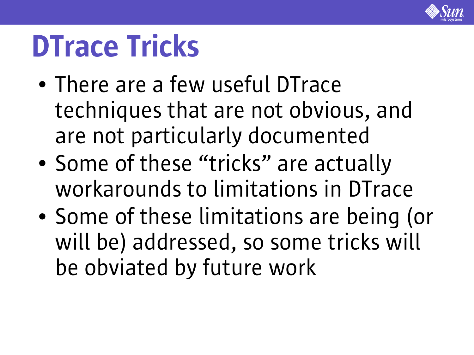

#### DTrace Tricks

- There are a few useful DTrace techniques that are not obvious, and are not particularly documented
- Some of these "tricks" are actually workarounds to limitations in DTrace
- Some of these limitations are being (or will be) addressed, so some tricks will be obviated by future work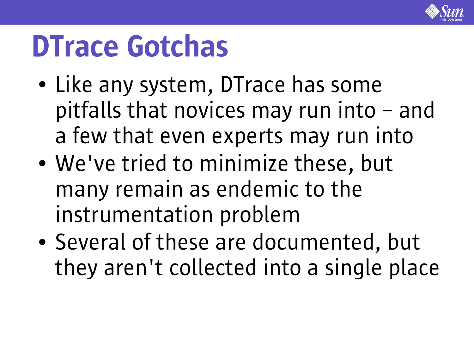

### DTrace Gotchas

- Like any system, DTrace has some pitfalls that novices may run into – and a few that even experts may run into
- We've tried to minimize these, but many remain as endemic to the instrumentation problem
- Several of these are documented, but they aren't collected into a single place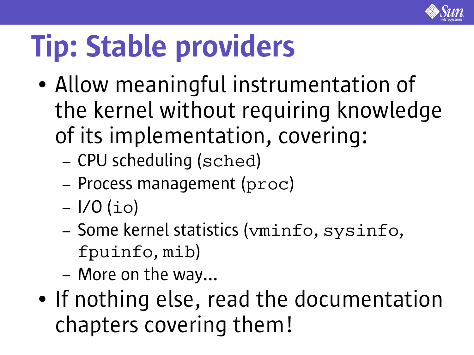

## Tip: Stable providers

- Allow meaningful instrumentation of the kernel without requiring knowledge of its implementation, covering:
	- CPU scheduling (sched)
	- Process management (proc)
	- $-1/0$  (io)
	- Some kernel statistics (vminfo, sysinfo, fpuinfo, mib)
	- More on the way...
- If nothing else, read the documentation chapters covering them!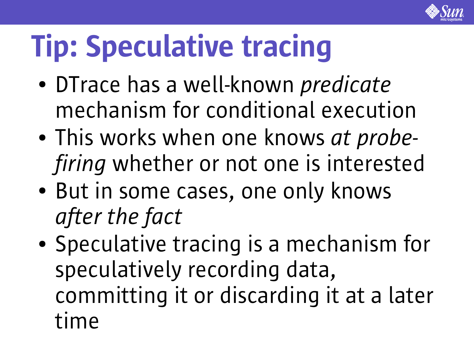

## Tip: Speculative tracing

- DTrace has a well-known *predicate* mechanism for conditional execution
- This works when one knows *at probefiring* whether or not one is interested
- But in some cases, one only knows *after the fact*
- Speculative tracing is a mechanism for speculatively recording data, committing it or discarding it at a later time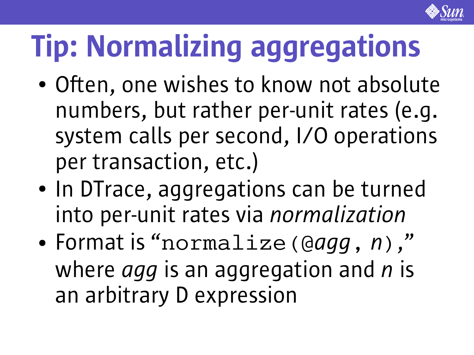

# Tip: Normalizing aggregations

- Often, one wishes to know not absolute numbers, but rather per-unit rates (e.g. system calls per second, I/O operations per transaction, etc.)
- In DTrace, aggregations can be turned into per-unit rates via *normalization*
- Format is "normalize(@*agg*, *n*), " where *agg* is an aggregation and *n* is an arbitrary D expression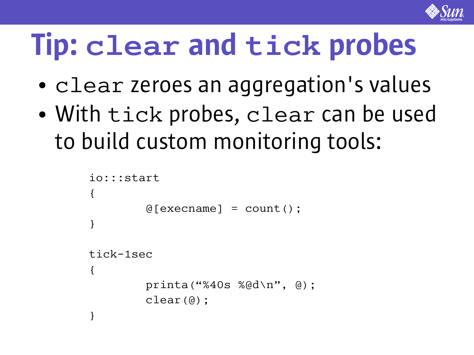

### Tip: **clear** and **tick** probes

- clear zeroes an aggregation's values
- With tick probes, clear can be used to build custom monitoring tools:

```
io:::start
{
        @[execname] = count();
}
tick-1sec
{
         printa("%40s %@d\n"
, @);
        clear(@);
}
```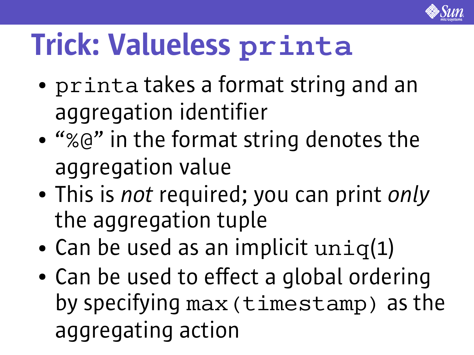

## Trick: Valueless **printa**

- printa takes a format string and an aggregation identifier
- "%@" in the format string denotes the aggregation value
- This is *not* required; you can print *only* the aggregation tuple
- Can be used as an implicit  $uniq(1)$
- Can be used to effect a global ordering by specifying max(timestamp) as the aggregating action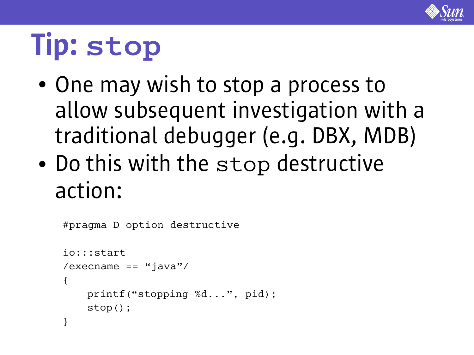

## Tip: **stop**

- One may wish to stop a process to allow subsequent investigation with a traditional debugger (e.g. DBX, MDB)
- Do this with the stop destructive action:

```
#pragma D option destructive
io:::start
/execname == "java"/
\{ printf("stopping %d...", pid);
     stop();
}
```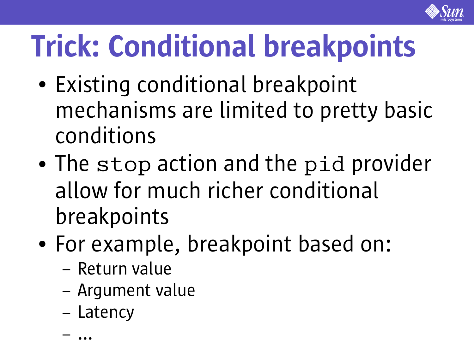

## Trick: Conditional breakpoints

- Existing conditional breakpoint mechanisms are limited to pretty basic conditions
- The stop action and the pid provider allow for much richer conditional breakpoints
- For example, breakpoint based on:
	- Return value
	- Argument value
	- Latency

– ...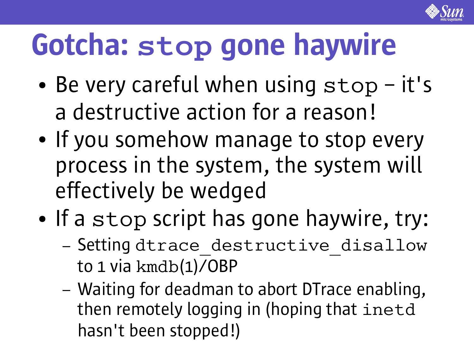

## Gotcha: **stop** gone haywire

- Be very careful when using stop it's a destructive action for a reason!
- If you somehow manage to stop every process in the system, the system will effectively be wedged
- If a stop script has gone haywire, try:
	- Setting dtrace destructive disallow to 1 via kmdb(1)/OBP
	- Waiting for deadman to abort DTrace enabling, then remotely logging in (hoping that inetd hasn't been stopped!)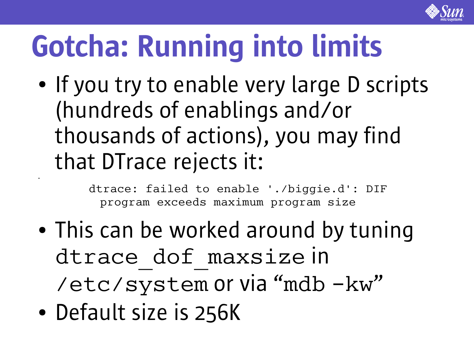

## Gotcha: Running into limits

• If you try to enable very large D scripts (hundreds of enablings and/or thousands of actions), you may find that DTrace rejects it:

> dtrace: failed to enable './biggie.d': DIF program exceeds maximum program size

- This can be worked around by tuning dtrace dof maxsize in /etc/system or via "mdb -kw"
- Default size is 256K

●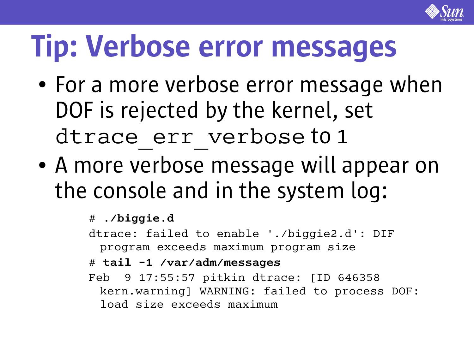

#### Tip: Verbose error messages

- For a more verbose error message when DOF is rejected by the kernel, set dtrace err verbose to 1
- A more verbose message will appear on the console and in the system log:

#### # **./biggie.d**

dtrace: failed to enable './biggie2.d': DIF program exceeds maximum program size

#### # **tail -1 /var/adm/messages**

Feb 9 17:55:57 pitkin dtrace: [ID 646358 kern.warning] WARNING: failed to process DOF: load size exceeds maximum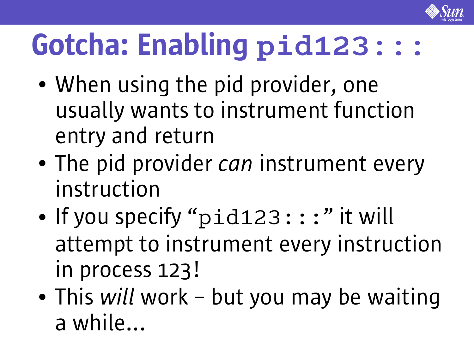

## Gotcha: Enabling **pid123:::**

- When using the pid provider, one usually wants to instrument function entry and return
- The pid provider *can* instrument every instruction
- If you specify "pid123:::" it will attempt to instrument every instruction in process 123!
- This *will* work but you may be waiting a while...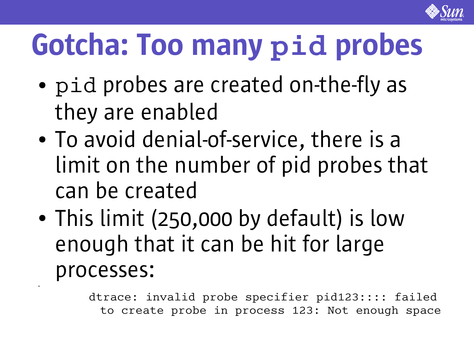

## Gotcha: Too many **pid** probes

- pid probes are created on-the-fly as they are enabled
- To avoid denial-of-service, there is a limit on the number of pid probes that can be created
- This limit (250,000 by default) is low enough that it can be hit for large processes:

●

dtrace: invalid probe specifier pid123:::: failed to create probe in process 123: Not enough space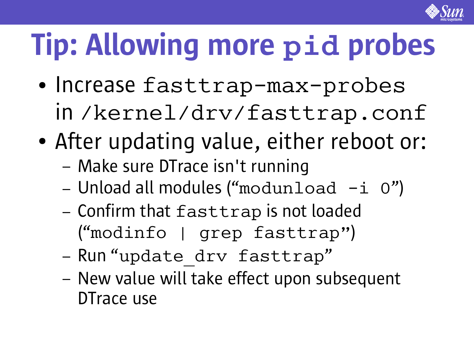

# Tip: Allowing more **pid** probes

- Increase fasttrap-max-probes in /kernel/drv/fasttrap.conf
- After updating value, either reboot or:
	- Make sure DTrace isn't running
	- $-$  Unload all modules ("modunload  $-i$  0")
	- Confirm that fasttrap is not loaded ("modinfo | grep fasttrap")
	- Run "update drv fasttrap"
	- New value will take effect upon subsequent DTrace use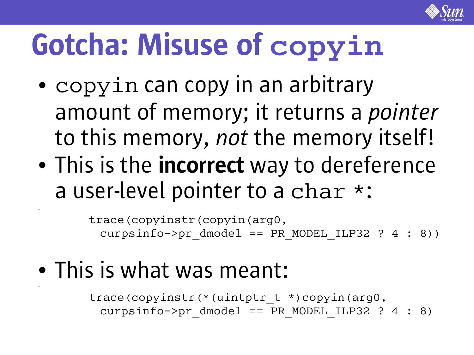

## Gotcha: Misuse of **copyin**

- copyin can copy in an arbitrary amount of memory; it returns a *pointer* to this memory, *not* the memory itself!
- This is the **incorrect** way to dereference a user-level pointer to a char \*:

trace(copyinstr(copyin(arg0, curpsinfo->pr dmodel == PR\_MODEL\_ILP32 ? 4 : 8))

• This is what was meant:

●

●

trace(copyinstr(\*(uintptr\_t \*)copyin(arg0, curpsinfo->pr dmodel == PR MODEL ILP32 ? 4 : 8)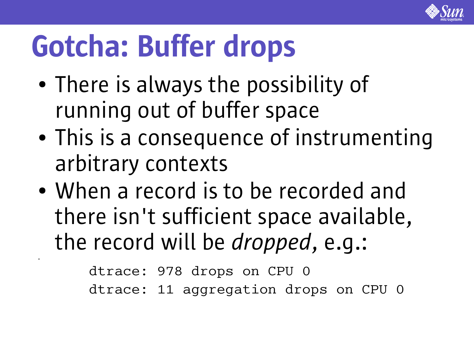

## Gotcha: Buffer drops

●

- There is always the possibility of running out of buffer space
- This is a consequence of instrumenting arbitrary contexts
- When a record is to be recorded and there isn't sufficient space available, the record will be *dropped*, e.g.:

dtrace: 978 drops on CPU 0 dtrace: 11 aggregation drops on CPU 0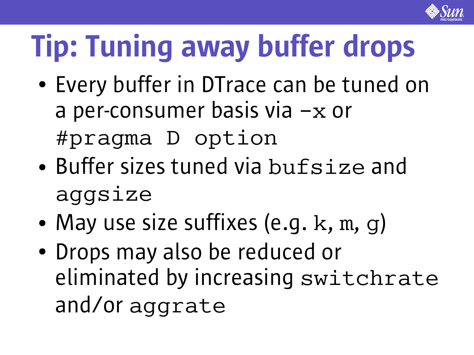

# Tip: Tuning away buffer drops

- Every buffer in DTrace can be tuned on a per-consumer basis via  $-x$  or #pragma D option
- Buffer sizes tuned via bufsize and aggsize
- May use size suffixes (e.g.  $k, m, g$ )
- Drops may also be reduced or eliminated by increasing switchrate and/or aggrate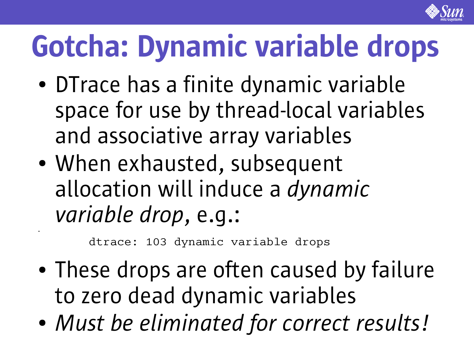

## Gotcha: Dynamic variable drops

- DTrace has a finite dynamic variable space for use by thread-local variables and associative array variables
- When exhausted, subsequent allocation will induce a *dynamic variable drop*, e.g.:

dtrace: 103 dynamic variable drops

●

- These drops are often caused by failure to zero dead dynamic variables
- *Must be eliminated for correct results!*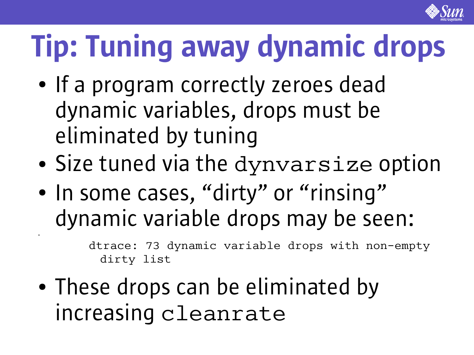

# Tip: Tuning away dynamic drops

- If a program correctly zeroes dead dynamic variables, drops must be eliminated by tuning
- Size tuned via the dynvarsize option
- In some cases, "dirty" or "rinsing" dynamic variable drops may be seen:

dtrace: 73 dynamic variable drops with non-empty dirty list

• These drops can be eliminated by increasing cleanrate

●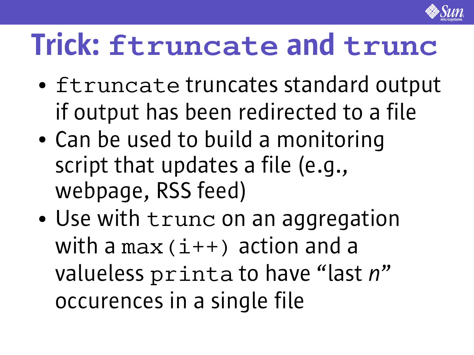

#### Trick: **ftruncate** and **trunc**

- ftruncate truncates standard output if output has been redirected to a file
- Can be used to build a monitoring script that updates a file (e.g., webpage, RSS feed)
- Use with trunc on an aggregation with a max  $(i++)$  action and a valueless printa to have "last *n*" occurences in a single file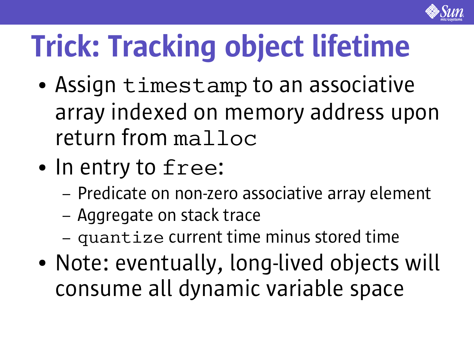

## Trick: Tracking object lifetime

- Assign timestamp to an associative array indexed on memory address upon return from malloc
- In entry to free:
	- Predicate on non-zero associative array element
	- Aggregate on stack trace
	- quantize current time minus stored time
- Note: eventually, long-lived objects will consume all dynamic variable space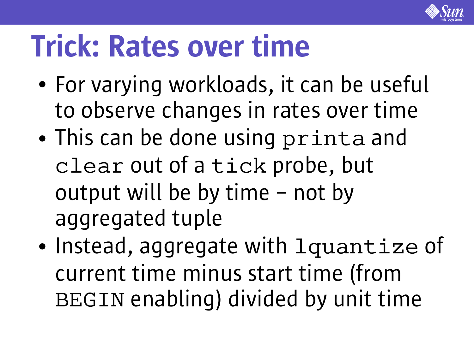

#### Trick: Rates over time

- For varying workloads, it can be useful to observe changes in rates over time
- This can be done using printa and clear out of a tick probe, but output will be by time – not by aggregated tuple
- Instead, aggregate with lquantize of current time minus start time (from BEGIN enabling) divided by unit time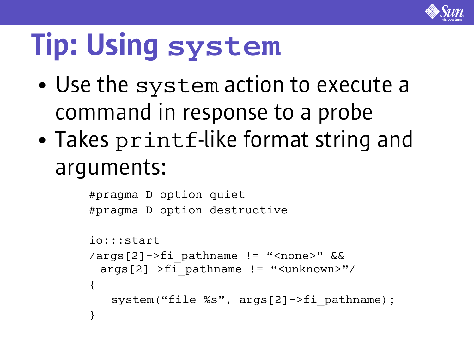

## Tip: Using **system**

●

- Use the system action to execute a command in response to a probe
- Takes printf-like format string and arguments:

```
#pragma D option quiet
#pragma D option destructive
io:::start
/args[2]->fi_pathname != "<none>" &&
 args[2]->fi_pathname != "<unknown>"/
{
   system("file %s", args[2]->fi_pathname);
}
```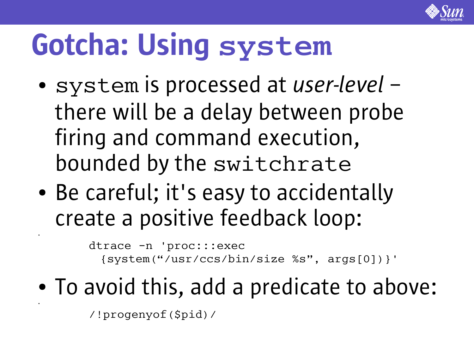

## Gotcha: Using **system**

- system is processed at *user-level* there will be a delay between probe firing and command execution, bounded by the switchrate
- Be careful; it's easy to accidentally create a positive feedback loop:

dtrace -n 'proc:::exec {system("/usr/ccs/bin/size %s" , args[0])}'

• To avoid this, add a predicate to above:

/!progenyof(\$pid)/

●

●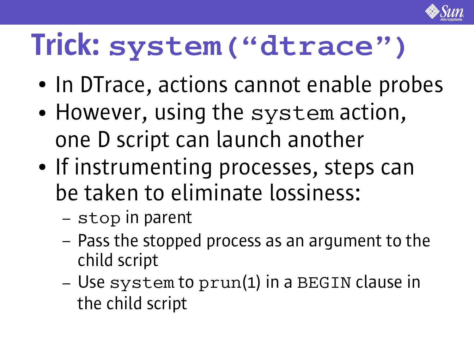

### Trick: **system("dtrace")**

- In DTrace, actions cannot enable probes
- However, using the system action, one D script can launch another
- If instrumenting processes, steps can be taken to eliminate lossiness:
	- stop in parent
	- Pass the stopped process as an argument to the child script
	- Use system to prun(1) in a BEGIN clause in the child script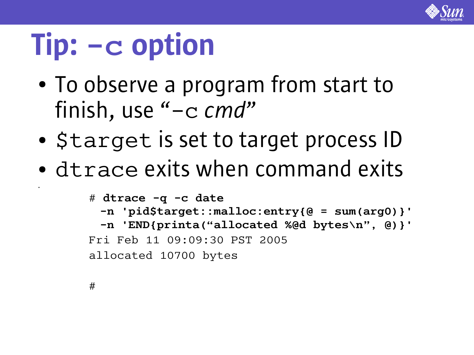

#### Tip: **-c** option

- To observe a program from start to finish, use "-c *cmd*"
- Starget is set to target process ID
- dtrace exits when command exits

```
# dtrace -q -c date
 -n 'pid$target::malloc:entry{@ = sum(arg0)}'
 -n 'END{printa("allocated %@d bytes\n"
, @)}'
Fri Feb 11 09:09:30 PST 2005
allocated 10700 bytes
```
#

●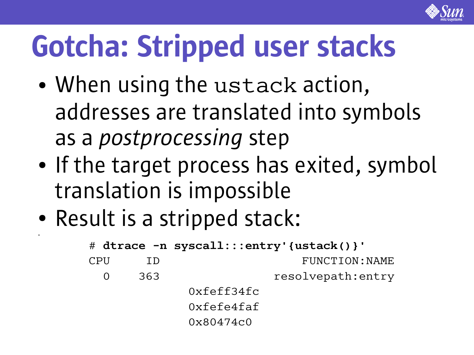

## Gotcha: Stripped user stacks

- When using the ustack action, addresses are translated into symbols as a *postprocessing* step
- If the target process has exited, symbol translation is impossible
- Result is a stripped stack:

●

```
# dtrace -n syscall:::entry'{ustack()}'
CPU ID FUNCTION: NAME
 0 363 resolvepath: entry
          0xfeff34fc
          0xfefe4faf
          0x80474c0
```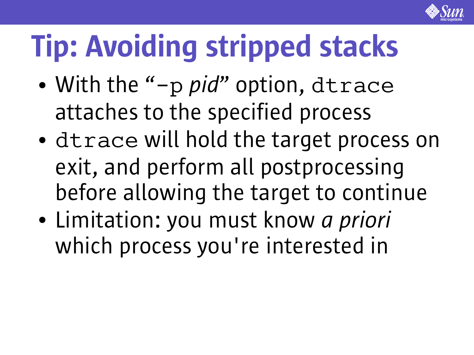

# Tip: Avoiding stripped stacks

- With the "-p *pid*" option, dtrace attaches to the specified process
- dtrace will hold the target process on exit, and perform all postprocessing before allowing the target to continue
- Limitation: you must know *a priori* which process you're interested in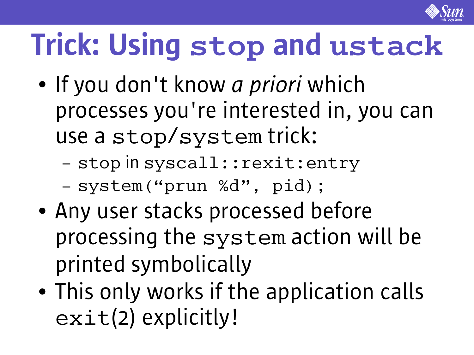

## Trick: Using **stop** and **ustack**

- If you don't know *a priori* which processes you're interested in, you can use a stop/system trick:
	- stop in syscall::rexit:entry
	- system("prun %d" , pid);
- Any user stacks processed before processing the system action will be printed symbolically
- This only works if the application calls exit(2) explicitly!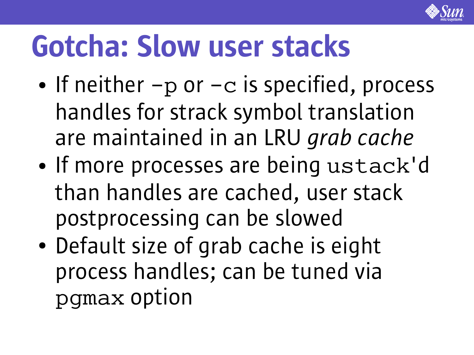

## Gotcha: Slow user stacks

- If neither  $-p$  or  $-c$  is specified, process handles for strack symbol translation are maintained in an LRU *grab cache*
- If more processes are being ustack'd than handles are cached, user stack postprocessing can be slowed
- Default size of grab cache is eight process handles; can be tuned via pgmax option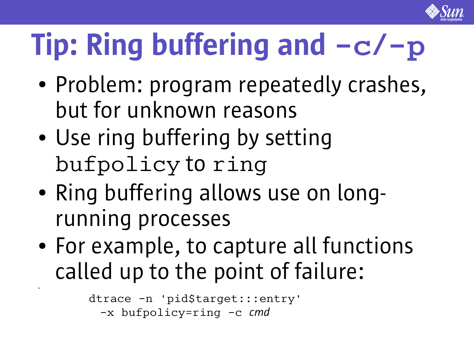

# Tip: Ring buffering and **-c**/**-p**

- Problem: program repeatedly crashes, but for unknown reasons
- Use ring buffering by setting bufpolicy to ring
- Ring buffering allows use on longrunning processes
- For example, to capture all functions called up to the point of failure:

```
dtrace -n 'pid$target:::entry'
 -x bufpolicy=ring -c cmd
```
●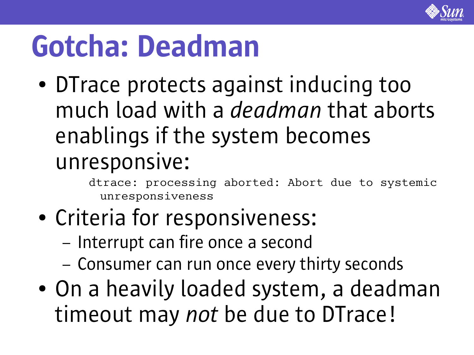

### Gotcha: Deadman

• DTrace protects against inducing too much load with a *deadman* that aborts enablings if the system becomes unresponsive:

> dtrace: processing aborted: Abort due to systemic unresponsiveness

- Criteria for responsiveness:
	- Interrupt can fire once a second
	- Consumer can run once every thirty seconds
- On a heavily loaded system, a deadman timeout may *not* be due to DTrace!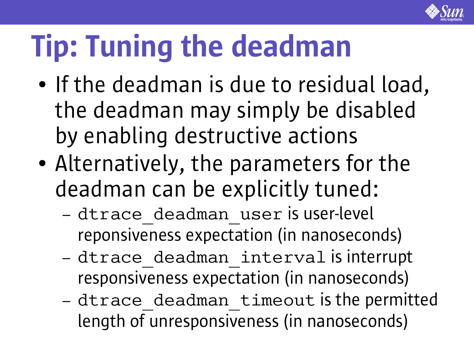

## Tip: Tuning the deadman

- If the deadman is due to residual load, the deadman may simply be disabled by enabling destructive actions
- Alternatively, the parameters for the deadman can be explicitly tuned:
	- dtrace deadman user is user-level reponsiveness expectation (in nanoseconds)
	- dtrace deadman interval is interrupt responsiveness expectation (in nanoseconds)
	- dtrace\_deadman\_timeout is the permitted length of unresponsiveness (in nanoseconds)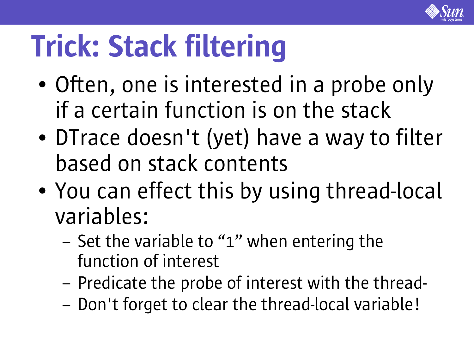

## Trick: Stack filtering

- Often, one is interested in a probe only if a certain function is on the stack
- DTrace doesn't (yet) have a way to filter based on stack contents
- You can effect this by using thread-local variables:
	- Set the variable to "1" when entering the function of interest
	- Predicate the probe of interest with the thread-
	- Don't forget to clear the thread-local variable!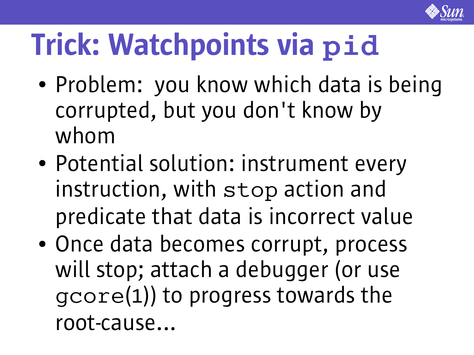

## Trick: Watchpoints via **pid**

- Problem: you know which data is being corrupted, but you don't know by whom
- Potential solution: instrument every instruction, with stop action and predicate that data is incorrect value
- Once data becomes corrupt, process will stop; attach a debugger (or use gcore(1)) to progress towards the root-cause...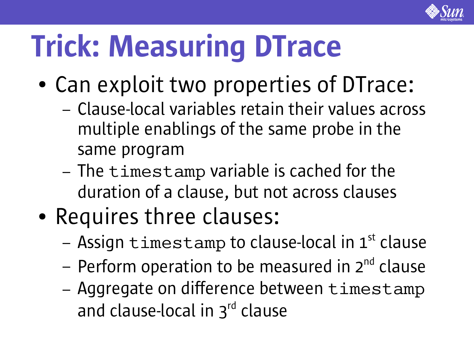

## Trick: Measuring DTrace

- Can exploit two properties of DTrace:
	- Clause-local variables retain their values across multiple enablings of the same probe in the same program
	- The timestamp variable is cached for the duration of a clause, but not across clauses
- Requires three clauses:
	- Assign timestamp to clause-local in 1st clause
	- Perform operation to be measured in 2<sup>nd</sup> clause
	- Aggregate on difference between timestamp and clause-local in 3<sup>rd</sup> clause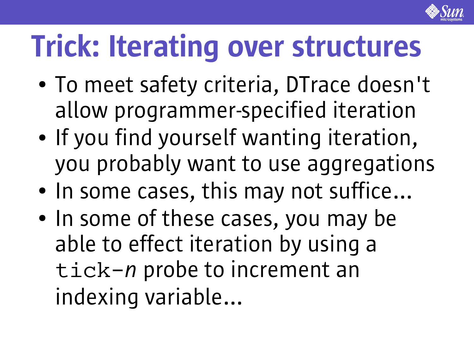

## Trick: Iterating over structures

- To meet safety criteria, DTrace doesn't allow programmer-specified iteration
- If you find yourself wanting iteration, you probably want to use aggregations
- In some cases, this may not suffice...
- In some of these cases, you may be able to effect iteration by using a tick-*n* probe to increment an indexing variable...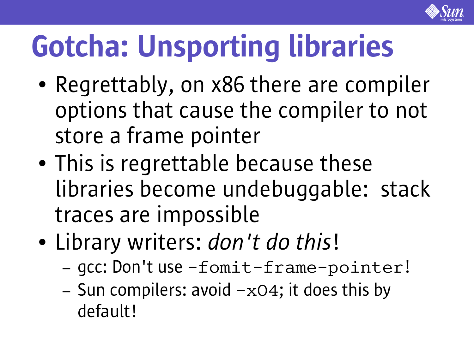

## Gotcha: Unsporting libraries

- Regrettably, on x86 there are compiler options that cause the compiler to not store a frame pointer
- This is regrettable because these libraries become undebuggable: stack traces are impossible
- Library writers: *don't do this*!
	- gcc: Don't use -fomit-frame-pointer!
	- Sun compilers: avoid  $-xO4$ ; it does this by default!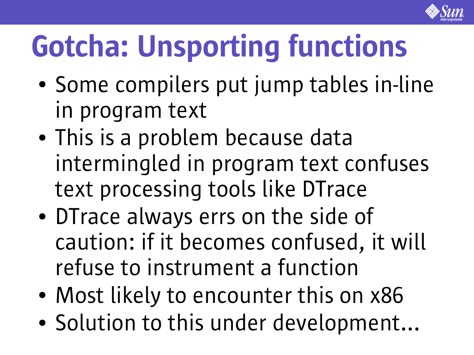

## Gotcha: Unsporting functions

- Some compilers put jump tables in-line in program text
- This is a problem because data intermingled in program text confuses text processing tools like DTrace
- DTrace always errs on the side of caution: if it becomes confused, it will refuse to instrument a function
- Most likely to encounter this on x86
- Solution to this under development...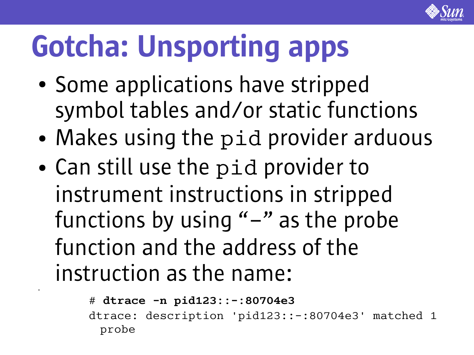

## Gotcha: Unsporting apps

- Some applications have stripped symbol tables and/or static functions
- Makes using the pid provider arduous
- Can still use the pid provider to instrument instructions in stripped functions by using  $" -"$  as the probe function and the address of the instruction as the name:

●

```
# dtrace -n pid123::-:80704e3
dtrace: description 'pid123::-:80704e3' matched 1
 probe
```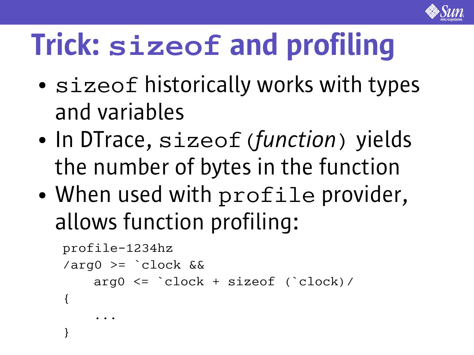

## Trick: **sizeof** and profiling

- sizeof historically works with types and variables
- In DTrace, sizeof (*function*) yields the number of bytes in the function
- When used with profile provider, allows function profiling:

```
profile-1234hz
\angle \text{arg0} >= \angle \text{clock} & &
      arg0 <= `clock + sizeof (`clock)/
{
 ...
}
```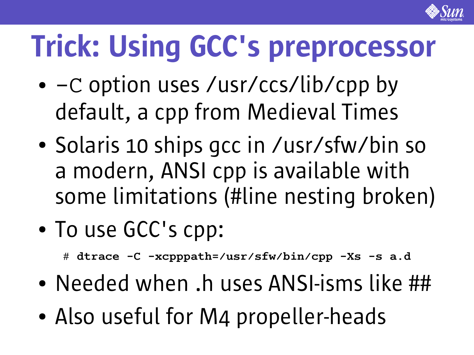

## Trick: Using GCC's preprocessor

- $\bullet$  -C option uses /usr/ccs/lib/cpp by default, a cpp from Medieval Times
- Solaris 10 ships gcc in /usr/sfw/bin so a modern, ANSI cpp is available with some limitations (#line nesting broken)
- To use GCC's cpp:
	- # **dtrace -C -xcpppath=/usr/sfw/bin/cpp -Xs -s a.d**
- Needed when .h uses ANSI-isms like ##
- Also useful for M4 propeller-heads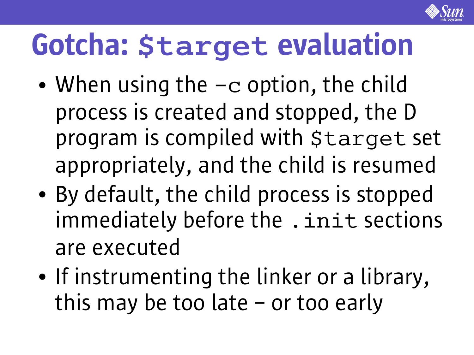

### Gotcha: **\$target** evaluation

- When using the  $-c$  option, the child process is created and stopped, the D program is compiled with \$target set appropriately, and the child is resumed
- By default, the child process is stopped immediately before the . init sections are executed
- If instrumenting the linker or a library, this may be too late – or too early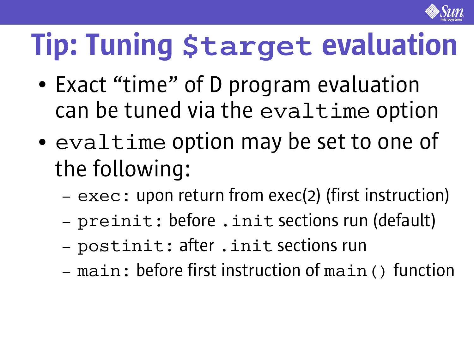

## Tip: Tuning **\$target** evaluation

- Exact "time" of D program evaluation can be tuned via the evaltime option
- evaltime option may be set to one of the following:
	- exec: upon return from exec(2) (first instruction)
	- preinit: before .init sections run (default)
	- postinit: after .init sections run
	- main: before first instruction of main() function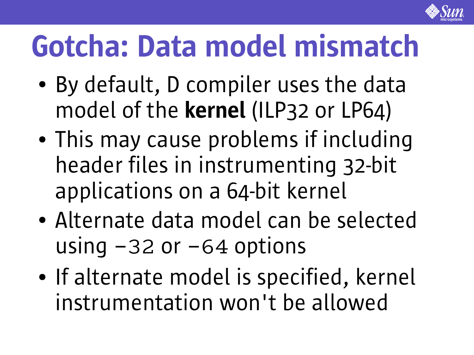

## Gotcha: Data model mismatch

- By default, D compiler uses the data model of the kernel (ILP32 or LP64)
- This may cause problems if including header files in instrumenting 32-bit applications on a 64-bit kernel
- Alternate data model can be selected using  $-32$  or  $-64$  options
- If alternate model is specified, kernel instrumentation won't be allowed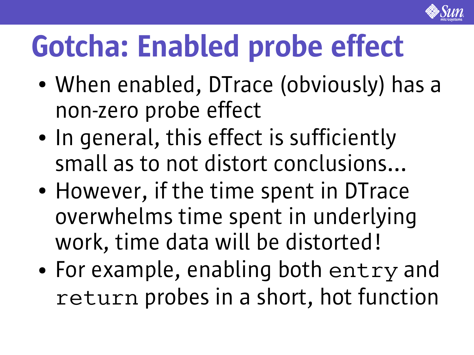

## Gotcha: Enabled probe effect

- When enabled, DTrace (obviously) has a non-zero probe effect
- In general, this effect is sufficiently small as to not distort conclusions...
- However, if the time spent in DTrace overwhelms time spent in underlying work, time data will be distorted!
- For example, enabling both entry and return probes in a short, hot function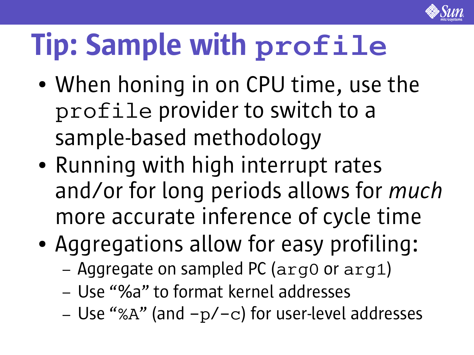

## Tip: Sample with **profile**

- When honing in on CPU time, use the profile provider to switch to a sample-based methodology
- Running with high interrupt rates and/or for long periods allows for *much* more accurate inference of cycle time
- Aggregations allow for easy profiling:
	- Aggregate on sampled PC (arg0 or arg1)
	- Use "%a" to format kernel addresses
	- Use "%A" (and  $-p/-c$ ) for user-level addresses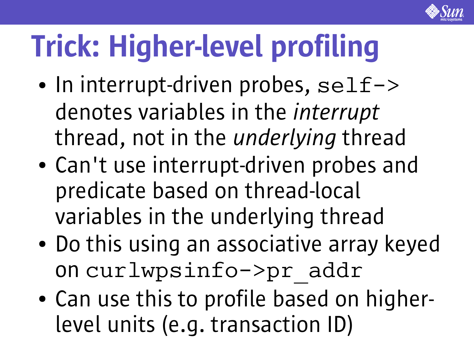

## Trick: Higher-level profiling

- $\bullet$  In interrupt-driven probes, self-> denotes variables in the *interrupt* thread, not in the *underlying* thread
- Can't use interrupt-driven probes and predicate based on thread-local variables in the underlying thread
- Do this using an associative array keyed on curlwpsinfo->pr\_addr
- Can use this to profile based on higherlevel units (e.g. transaction ID)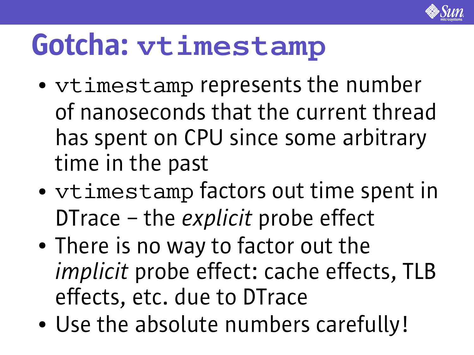

#### Gotcha: **vtimestamp**

- vtimestamp represents the number of nanoseconds that the current thread has spent on CPU since some arbitrary time in the past
- vtimestamp factors out time spent in DTrace – the *explicit* probe effect
- There is no way to factor out the *implicit* probe effect: cache effects, TLB effects, etc. due to DTrace
- Use the absolute numbers carefully!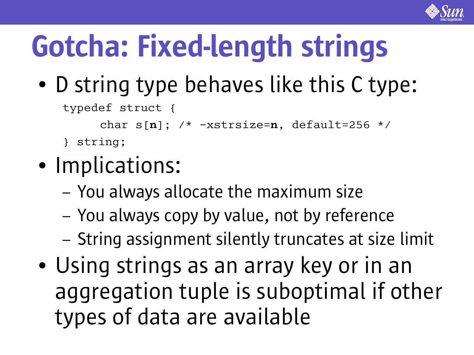

# Gotcha: Fixed-length strings

• D string type behaves like this C type:

typedef struct {

char  $s[n]$ ; /\*  $-xstrsize=n$ , default=256 \*/

- } string;
- Implications:
	- You always allocate the maximum size
	- You always copy by value, not by reference
	- String assignment silently truncates at size limit
- Using strings as an array key or in an aggregation tuple is suboptimal if other types of data are available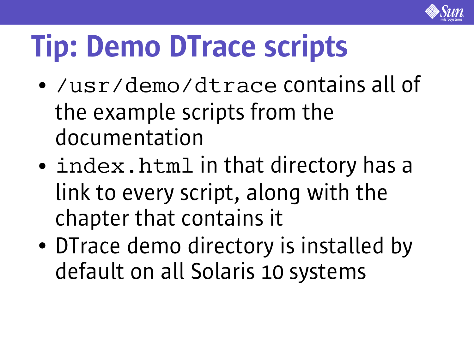

## Tip: Demo DTrace scripts

- /usr/demo/dtrace contains all of the example scripts from the documentation
- index.html in that directory has a link to every script, along with the chapter that contains it
- DTrace demo directory is installed by default on all Solaris 10 systems